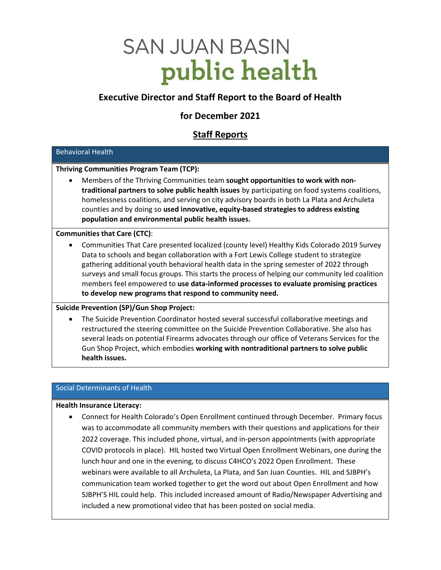# **SAN JUAN BASIN** public health

# Executive Director and Staff Report to the Board of Health

# for December 2021

# Staff Reports

# Behavioral Health

# Thriving Communities Program Team (TCP):

 Members of the Thriving Communities team sought opportunities to work with nontraditional partners to solve public health issues by participating on food systems coalitions, homelessness coalitions, and serving on city advisory boards in both La Plata and Archuleta counties and by doing so used innovative, equity-based strategies to address existing population and environmental public health issues.

# Communities that Care (CTC):

 Communities That Care presented localized (county level) Healthy Kids Colorado 2019 Survey Data to schools and began collaboration with a Fort Lewis College student to strategize gathering additional youth behavioral health data in the spring semester of 2022 through surveys and small focus groups. This starts the process of helping our community led coalition members feel empowered to use data-informed processes to evaluate promising practices to develop new programs that respond to community need.

# Suicide Prevention (SP)/Gun Shop Project:

 The Suicide Prevention Coordinator hosted several successful collaborative meetings and restructured the steering committee on the Suicide Prevention Collaborative. She also has several leads on potential Firearms advocates through our office of Veterans Services for the Gun Shop Project, which embodies working with nontraditional partners to solve public health issues.

# Social Determinants of Health

#### Health Insurance Literacy:

 Connect for Health Colorado's Open Enrollment continued through December. Primary focus was to accommodate all community members with their questions and applications for their 2022 coverage. This included phone, virtual, and in-person appointments (with appropriate COVID protocols in place). HIL hosted two Virtual Open Enrollment Webinars, one during the lunch hour and one in the evening, to discuss C4HCO's 2022 Open Enrollment. These webinars were available to all Archuleta, La Plata, and San Juan Counties. HIL and SJBPH's communication team worked together to get the word out about Open Enrollment and how SJBPH'S HIL could help. This included increased amount of Radio/Newspaper Advertising and included a new promotional video that has been posted on social media.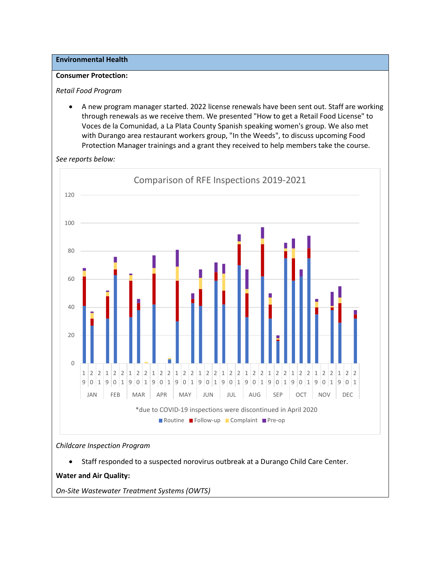# Environmental Health

#### Consumer Protection:

#### Retail Food Program

 A new program manager started. 2022 license renewals have been sent out. Staff are working through renewals as we receive them. We presented "How to get a Retail Food License" to Voces de la Comunidad, a La Plata County Spanish speaking women's group. We also met with Durango area restaurant workers group, "In the Weeds", to discuss upcoming Food Protection Manager trainings and a grant they received to help members take the course.

See reports below:



#### Childcare Inspection Program

Staff responded to a suspected norovirus outbreak at a Durango Child Care Center.

Water and Air Quality:

On-Site Wastewater Treatment Systems (OWTS)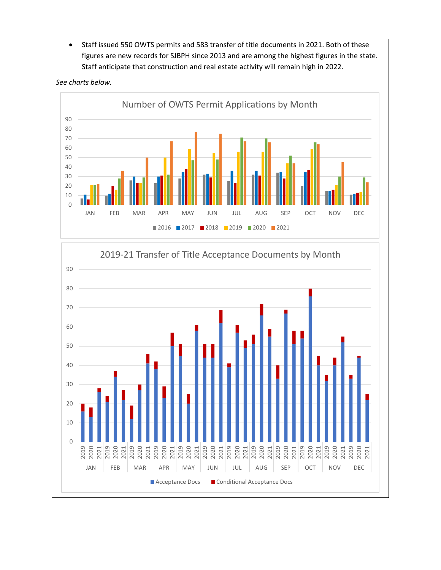Staff issued 550 OWTS permits and 583 transfer of title documents in 2021. Both of these figures are new records for SJBPH since 2013 and are among the highest figures in the state. Staff anticipate that construction and real estate activity will remain high in 2022.



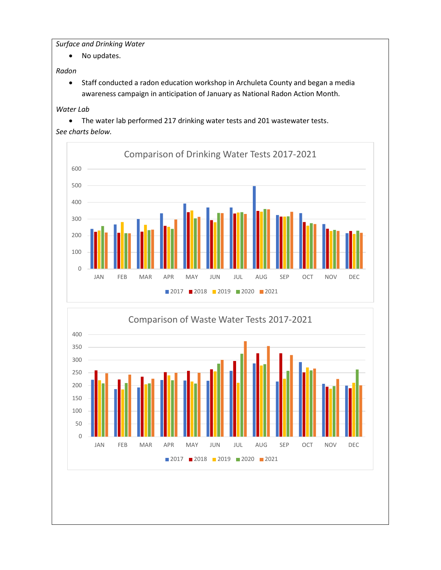Surface and Drinking Water

• No updates.

Radon

 Staff conducted a radon education workshop in Archuleta County and began a media awareness campaign in anticipation of January as National Radon Action Month.

# Water Lab

The water lab performed 217 drinking water tests and 201 wastewater tests.

# See charts below.



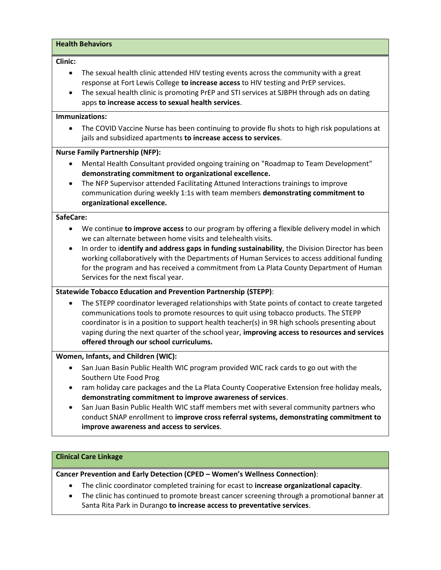#### Health Behaviors

#### Clinic:

- The sexual health clinic attended HIV testing events across the community with a great response at Fort Lewis College to increase access to HIV testing and PrEP services.
- The sexual health clinic is promoting PrEP and STI services at SJBPH through ads on dating apps to increase access to sexual health services.

#### Immunizations:

 The COVID Vaccine Nurse has been continuing to provide flu shots to high risk populations at jails and subsidized apartments to increase access to services.

#### Nurse Family Partnership (NFP):

- Mental Health Consultant provided ongoing training on "Roadmap to Team Development" demonstrating commitment to organizational excellence.
- The NFP Supervisor attended Facilitating Attuned Interactions trainings to improve communication during weekly 1:1s with team members demonstrating commitment to organizational excellence.

#### SafeCare:

- We continue to improve access to our program by offering a flexible delivery model in which we can alternate between home visits and telehealth visits.
- In order to identify and address gaps in funding sustainability, the Division Director has been working collaboratively with the Departments of Human Services to access additional funding for the program and has received a commitment from La Plata County Department of Human Services for the next fiscal year.

#### Statewide Tobacco Education and Prevention Partnership (STEPP):

 The STEPP coordinator leveraged relationships with State points of contact to create targeted communications tools to promote resources to quit using tobacco products. The STEPP coordinator is in a position to support health teacher(s) in 9R high schools presenting about vaping during the next quarter of the school year, improving access to resources and services offered through our school curriculums.

## Women, Infants, and Children (WIC):

- San Juan Basin Public Health WIC program provided WIC rack cards to go out with the Southern Ute Food Prog
- ram holiday care packages and the La Plata County Cooperative Extension free holiday meals, demonstrating commitment to improve awareness of services.
- San Juan Basin Public Health WIC staff members met with several community partners who conduct SNAP enrollment to improve cross referral systems, demonstrating commitment to improve awareness and access to services.

#### Clinical Care Linkage

Cancer Prevention and Early Detection (CPED – Women's Wellness Connection):

- The clinic coordinator completed training for ecast to increase organizational capacity.
- The clinic has continued to promote breast cancer screening through a promotional banner at Santa Rita Park in Durango to increase access to preventative services.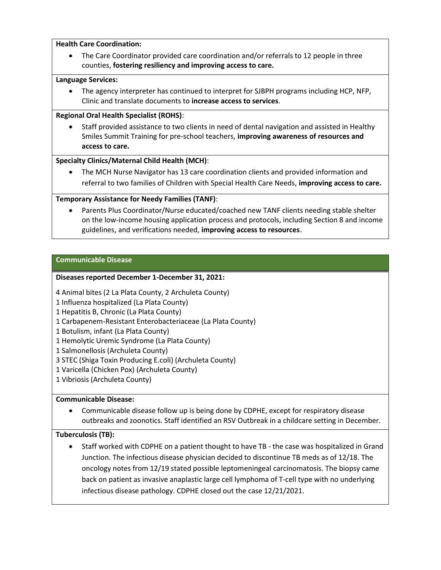## Health Care Coordination:

 The Care Coordinator provided care coordination and/or referrals to 12 people in three counties, fostering resiliency and improving access to care.

# Language Services:

 The agency interpreter has continued to interpret for SJBPH programs including HCP, NFP, Clinic and translate documents to increase access to services.

# Regional Oral Health Specialist (ROHS):

 Staff provided assistance to two clients in need of dental navigation and assisted in Healthy Smiles Summit Training for pre-school teachers, improving awareness of resources and access to care.

# Specialty Clinics/Maternal Child Health (MCH):

 The MCH Nurse Navigator has 13 care coordination clients and provided information and referral to two families of Children with Special Health Care Needs, improving access to care.

# Temporary Assistance for Needy Families (TANF):

 Parents Plus Coordinator/Nurse educated/coached new TANF clients needing stable shelter on the low-income housing application process and protocols, including Section 8 and income guidelines, and verifications needed, improving access to resources.

# Communicable Disease

# Diseases reported December 1-December 31, 2021:

4 Animal bites (2 La Plata County, 2 Archuleta County)

1 Influenza hospitalized (La Plata County)

1 Hepatitis B, Chronic (La Plata County)

- 1 Carbapenem-Resistant Enterobacteriaceae (La Plata County)
- 1 Botulism, infant (La Plata County)

1 Hemolytic Uremic Syndrome (La Plata County)

1 Salmonellosis (Archuleta County)

3 STEC (Shiga Toxin Producing E.coli) (Archuleta County)

- 1 Varicella (Chicken Pox) (Archuleta County)
- 1 Vibriosis (Archuleta County)

# Communicable Disease:

 Communicable disease follow up is being done by CDPHE, except for respiratory disease outbreaks and zoonotics. Staff identified an RSV Outbreak in a childcare setting in December.

#### Tuberculosis (TB):

 Staff worked with CDPHE on a patient thought to have TB - the case was hospitalized in Grand Junction. The infectious disease physician decided to discontinue TB meds as of 12/18. The oncology notes from 12/19 stated possible leptomeningeal carcinomatosis. The biopsy came back on patient as invasive anaplastic large cell lymphoma of T-cell type with no underlying infectious disease pathology. CDPHE closed out the case 12/21/2021.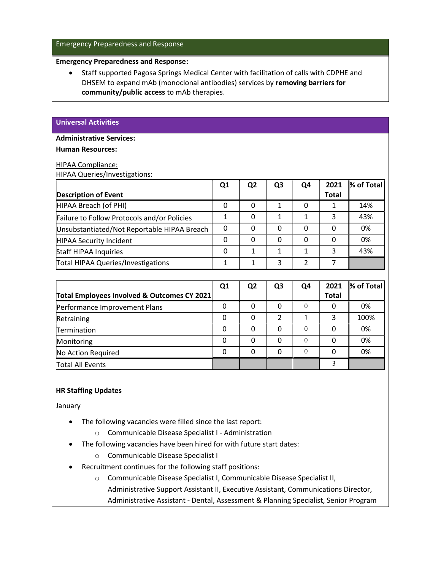## Emergency Preparedness and Response

#### Emergency Preparedness and Response:

 Staff supported Pagosa Springs Medical Center with facilitation of calls with CDPHE and DHSEM to expand mAb (monoclonal antibodies) services by removing barriers for community/public access to mAb therapies.

#### Universal Activities

#### Administrative Services:

#### Human Resources:

#### HIPAA Compliance:

HIPAA Queries/Investigations:

|                                             | Q <sub>1</sub> | Q <sub>2</sub> | Q <sub>3</sub>          | Q <sub>4</sub> | 2021         | % of Total |
|---------------------------------------------|----------------|----------------|-------------------------|----------------|--------------|------------|
| <b>Description of Event</b>                 |                |                |                         |                | <b>Total</b> |            |
| HIPAA Breach (of PHI)                       | $\Omega$       | $\Omega$       | $\mathbf{1}$            | $\Omega$       | 1            | 14%        |
| Failure to Follow Protocols and/or Policies | 1              | 0              | $\mathbf{1}$            | 1              | 3            | 43%        |
| Unsubstantiated/Not Reportable HIPAA Breach | $\Omega$       | $\Omega$       | $\mathbf 0$             | 0              | $\Omega$     | 0%         |
| HIPAA Security Incident                     | $\Omega$       | $\Omega$       | $\Omega$                | 0              | $\Omega$     | 0%         |
| <b>Staff HIPAA Inquiries</b>                | 0              | 1              | 1                       | 1              | 3            | 43%        |
| Total HIPAA Queries/Investigations          | 1              | 1              | 3                       | $\overline{2}$ | 7            |            |
|                                             |                |                |                         |                |              |            |
|                                             | Q <sub>1</sub> | Q <sub>2</sub> | Q <sub>3</sub>          | Q4             | 2021         | % of Total |
| Total Employees Involved & Outcomes CY 2021 |                |                |                         |                | <b>Total</b> |            |
| Performance Improvement Plans               | 0              | $\Omega$       | $\Omega$                | $\Omega$       | 0            | 0%         |
| Retraining                                  | 0              | $\Omega$       | $\overline{\mathbf{c}}$ | 1              | 3            | 100%       |
| Termination                                 | 0              | $\Omega$       | $\Omega$                | $\Omega$       | $\Omega$     | 0%         |
| Monitoring                                  | 0              | 0              | $\mathbf{0}$            | $\Omega$       | 0            | 0%         |
| No Action Required                          | $\mathbf{0}$   | 0              | $\mathbf{0}$            | $\Omega$       | $\Omega$     | 0%         |
| Total All Events                            |                |                |                         |                | 3            |            |

#### HR Staffing Updates

January

- The following vacancies were filled since the last report:
	- o Communicable Disease Specialist I Administration
- The following vacancies have been hired for with future start dates:
	- o Communicable Disease Specialist I
- Recruitment continues for the following staff positions:
	- o Communicable Disease Specialist I, Communicable Disease Specialist II,

Administrative Support Assistant II, Executive Assistant, Communications Director,

Administrative Assistant - Dental, Assessment & Planning Specialist, Senior Program